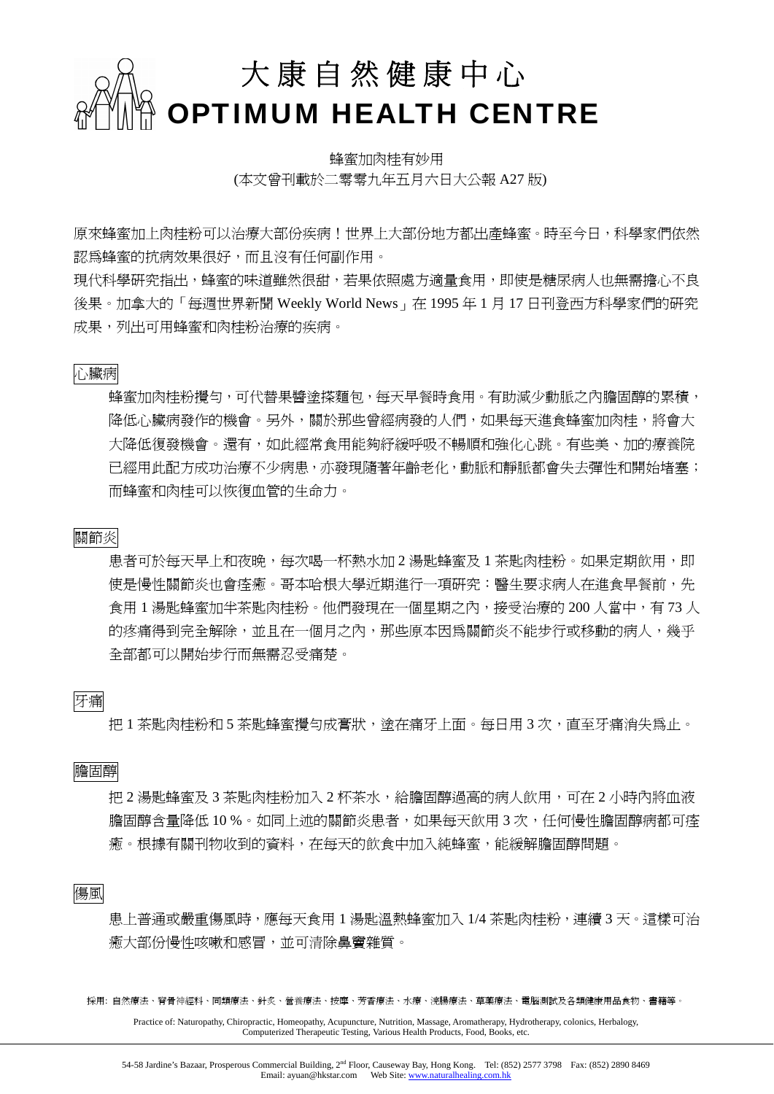

蜂蜜加肉桂有妙用 (本文曾刊載於二零零九年五月六日大公報 A27 版)

原來蜂蜜加上肉桂粉可以治療大部份疾病!世界上大部份地方都出產蜂蜜。時至今日,科學家們依然 認為蜂蜜的抗病效果很好,而且沒有任何副作用。

現代科學研究指出,蜂蜜的味道雖然很甜,若果依照處方適量食用,即使是糖尿病人也無需擔心不良 後果。加拿大的「每週世界新聞 Weekly World News」在 1995 年 1 月 17 日刊登西方科學家們的研究 成果,列出可用蜂蜜和肉桂粉治療的疾病。

#### 心臟病

蜂蜜加肉桂粉攪勻,可代替果醬塗搽麵包,每天早餐時食用。有助減少動脈之內膽固醇的累積, 降低心臟病發作的機會。另外,關於那些曾經病發的人們,如果每天進食蜂蜜加肉桂,將會大 大降低復發機會。還有,如此經常食用能夠紓緩呼吸不暢順和強化心跳。有些美、加的療養院 已經用此配方成功治療不少病患,亦發現隨著年齡老化,動脈和靜脈都會失去彈性和開始堵塞; 而蜂蜜和肉桂可以恢復血管的生命力。

#### 關節炎

患者可於每天早上和夜晚,每次喝一杯熱水加 2 湯匙蜂蜜及 1 茶匙肉桂粉。如果定期飲用,即 使是慢性關節炎也會痊癒。哥本哈根大學沂期進行一項研究:醫生要求病人在進食早餐前,先 食用 1 湯匙蜂蜜加半茶匙肉桂粉。他們發現在一個星期之內,接受治療的 200 人當中,有 73 人 的疼痛得到完全解除,並且在一個月之內,那些原本因為關節炎不能步行或移動的病人,幾乎 全部都可以開始步行而無需忍受痛楚。

### 牙痛

把 1 茶匙肉桂粉和 5 茶匙蜂蜜攪勻成膏狀,塗在痛牙上面。每日用 3 次,直至牙痛消失為止。

膽固醇

把 2 湯匙蜂蜜及 3 茶匙肉桂粉加入 2 杯茶水,給膽固醇過高的病人飲用,可在 2 小時內將血液 膽固醇含量降低 10 %。如同上述的關節炎患者,如果每天飲用 3 次,仟何慢性膽固醇病都可痊 癒。根據有關刊物收到的資料,在每天的飲食中加入純蜂蜜,能緩解膽固醇問題。

傷風

患上普通或嚴重傷風時,應每天食用 1 湯匙溫熱蜂蜜加入 1/4 茶匙肉桂粉,連續 3 天。這樣可治 癒大部份慢性咳嗽和感冒,並可清除鼻竇雜質。

採用: 自然療法、脊骨神經科、同類療法、針炙、營養療法、按摩、芳香療法、水療、浣腸療法、草藥療法、電腦測試及各類健康用品食物、書籍等。

Practice of: Naturopathy, Chiropractic, Homeopathy, Acupuncture, Nutrition, Massage, Aromatherapy, Hydrotherapy, colonics, Herbalogy, Computerized Therapeutic Testing, Various Health Products, Food, Books, etc.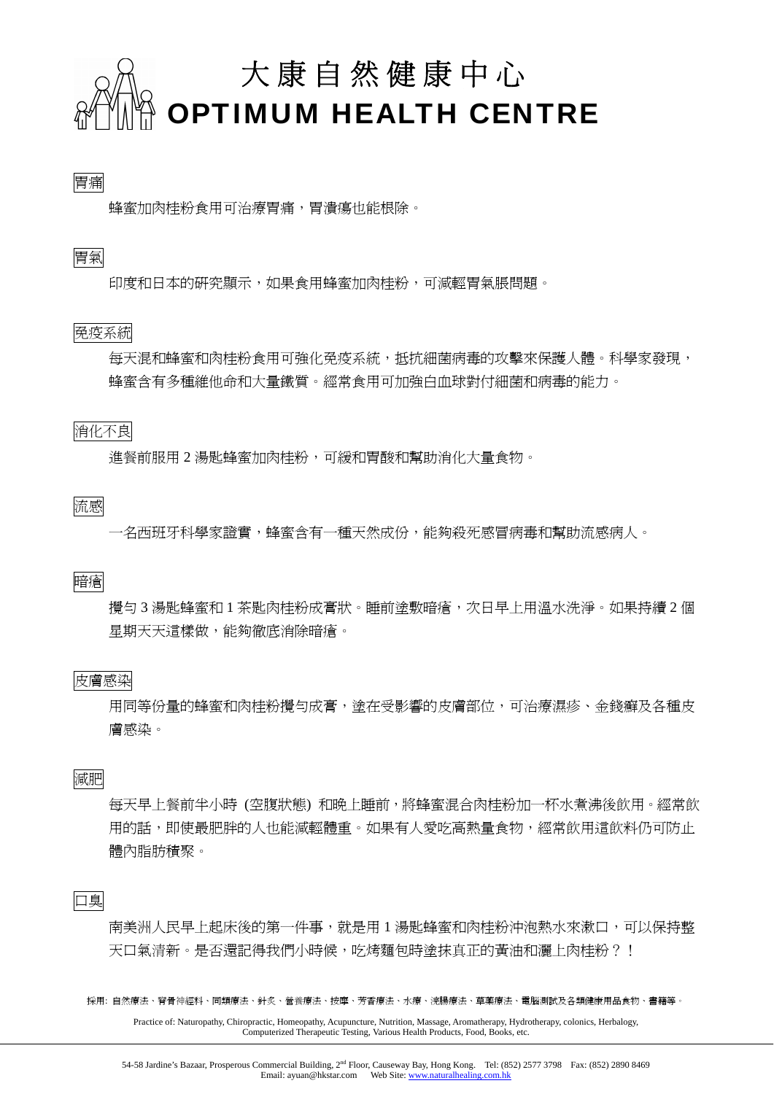

# 胃痛

蜂蜜加肉桂粉食用可治療胃痛,胃潰瘍也能根除。

## 胃氣

印度和日本的研究顯示,如果食用蜂蜜加肉桂粉,可減輕胃氣脹問題。

## 免疫系統

每天混和蜂蜜和肉桂粉食用可強化免疫系統,抵抗細菌病毒的攻擊來保護人體。科學家發現, 蜂蜜含有多種維他命和大量鐵質。經常食用可加強白血球對付細菌和病毒的能力。

## 消化不良

進餐前服用 2 湯匙蜂蜜加肉桂粉,可緩和胃酸和幫助消化大量食物。

流感

一名西班牙科學家證實,蜂蜜含有一種天然成份,能夠殺死感冒病毒和幫助流感病人。

暗瘡

攪勻 3 湯匙蜂蜜和 1 茶匙肉桂粉成膏狀。睡前塗敷暗瘡,次日早上用溫水洗淨。如果持續 2 個 星期天天這樣做,能夠徹底消除暗瘡。

### 皮膚感染

用同等份量的蜂蜜和肉桂粉攪勻成膏,塗在受影響的皮膚部位,可治療濕疹、金錢癬及各種皮 膚感染。

減肥

每天早上餐前半小時 (空腹狀態) 和晚上睡前,將蜂蜜混合肉桂粉加一杯水煮沸後飲用。經常飲 用的話,即使最肥胖的人也能減輕體重。如果有人愛吃高熱量食物,經常飲用這飲料仍可防止 體內脂肪積聚。

口臭

南美洲人民早上起床後的第一件事,就是用 1 湯匙蜂蜜和肉桂粉沖泡熱水來漱口,可以保持整 天口氣清新。是否還記得我們小時候,吃烤麵包時塗抹真正的黃油和灑上肉桂粉?!

採用: 自然療法、脊骨神經科、同類療法、針炙、營養療法、按摩、芳香療法、水療、浣腸療法、草藥療法、電腦測試及各類健康用品食物、書籍等。

Practice of: Naturopathy, Chiropractic, Homeopathy, Acupuncture, Nutrition, Massage, Aromatherapy, Hydrotherapy, colonics, Herbalogy, Computerized Therapeutic Testing, Various Health Products, Food, Books, etc.